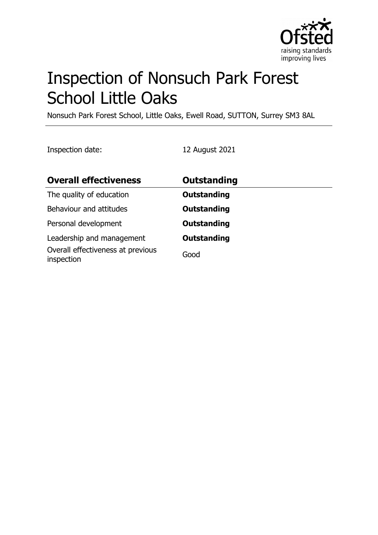

# Inspection of Nonsuch Park Forest School Little Oaks

Nonsuch Park Forest School, Little Oaks, Ewell Road, SUTTON, Surrey SM3 8AL

Inspection date: 12 August 2021

| <b>Overall effectiveness</b>                    | Outstanding        |
|-------------------------------------------------|--------------------|
| The quality of education                        | <b>Outstanding</b> |
| Behaviour and attitudes                         | <b>Outstanding</b> |
| Personal development                            | <b>Outstanding</b> |
| Leadership and management                       | <b>Outstanding</b> |
| Overall effectiveness at previous<br>inspection | Good               |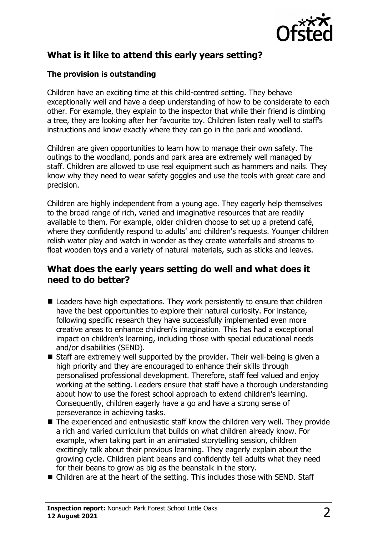

## **What is it like to attend this early years setting?**

#### **The provision is outstanding**

Children have an exciting time at this child-centred setting. They behave exceptionally well and have a deep understanding of how to be considerate to each other. For example, they explain to the inspector that while their friend is climbing a tree, they are looking after her favourite toy. Children listen really well to staff's instructions and know exactly where they can go in the park and woodland.

Children are given opportunities to learn how to manage their own safety. The outings to the woodland, ponds and park area are extremely well managed by staff. Children are allowed to use real equipment such as hammers and nails. They know why they need to wear safety goggles and use the tools with great care and precision.

Children are highly independent from a young age. They eagerly help themselves to the broad range of rich, varied and imaginative resources that are readily available to them. For example, older children choose to set up a pretend café, where they confidently respond to adults' and children's requests. Younger children relish water play and watch in wonder as they create waterfalls and streams to float wooden toys and a variety of natural materials, such as sticks and leaves.

#### **What does the early years setting do well and what does it need to do better?**

- $\blacksquare$  Leaders have high expectations. They work persistently to ensure that children have the best opportunities to explore their natural curiosity. For instance, following specific research they have successfully implemented even more creative areas to enhance children's imagination. This has had a exceptional impact on children's learning, including those with special educational needs and/or disabilities (SEND).
- $\blacksquare$  Staff are extremely well supported by the provider. Their well-being is given a high priority and they are encouraged to enhance their skills through personalised professional development. Therefore, staff feel valued and enjoy working at the setting. Leaders ensure that staff have a thorough understanding about how to use the forest school approach to extend children's learning. Consequently, children eagerly have a go and have a strong sense of perseverance in achieving tasks.
- $\blacksquare$  The experienced and enthusiastic staff know the children very well. They provide a rich and varied curriculum that builds on what children already know. For example, when taking part in an animated storytelling session, children excitingly talk about their previous learning. They eagerly explain about the growing cycle. Children plant beans and confidently tell adults what they need for their beans to grow as big as the beanstalk in the story.
- $\blacksquare$  Children are at the heart of the setting. This includes those with SEND. Staff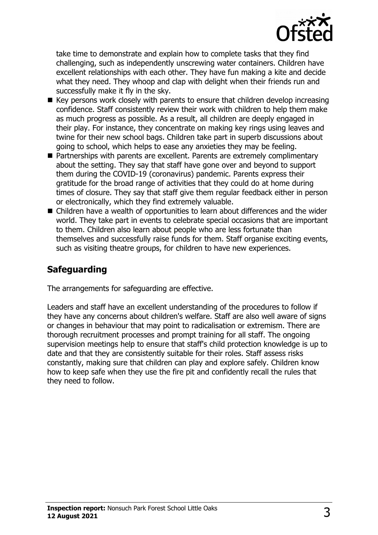

take time to demonstrate and explain how to complete tasks that they find challenging, such as independently unscrewing water containers. Children have excellent relationships with each other. They have fun making a kite and decide what they need. They whoop and clap with delight when their friends run and successfully make it fly in the sky.

- $\blacksquare$  Key persons work closely with parents to ensure that children develop increasing confidence. Staff consistently review their work with children to help them make as much progress as possible. As a result, all children are deeply engaged in their play. For instance, they concentrate on making key rings using leaves and twine for their new school bags. Children take part in superb discussions about going to school, which helps to ease any anxieties they may be feeling.
- $\blacksquare$  Partnerships with parents are excellent. Parents are extremely complimentary about the setting. They say that staff have gone over and beyond to support them during the COVID-19 (coronavirus) pandemic. Parents express their gratitude for the broad range of activities that they could do at home during times of closure. They say that staff give them regular feedback either in person or electronically, which they find extremely valuable.
- $\blacksquare$  Children have a wealth of opportunities to learn about differences and the wider world. They take part in events to celebrate special occasions that are important to them. Children also learn about people who are less fortunate than themselves and successfully raise funds for them. Staff organise exciting events, such as visiting theatre groups, for children to have new experiences.

## **Safeguarding**

The arrangements for safeguarding are effective.

Leaders and staff have an excellent understanding of the procedures to follow if they have any concerns about children's welfare. Staff are also well aware of signs or changes in behaviour that may point to radicalisation or extremism. There are thorough recruitment processes and prompt training for all staff. The ongoing supervision meetings help to ensure that staff's child protection knowledge is up to date and that they are consistently suitable for their roles. Staff assess risks constantly, making sure that children can play and explore safely. Children know how to keep safe when they use the fire pit and confidently recall the rules that they need to follow.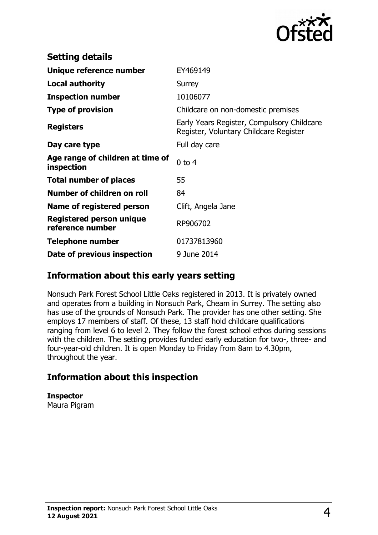

| <b>Setting details</b>                         |                                                                                      |
|------------------------------------------------|--------------------------------------------------------------------------------------|
| Unique reference number                        | EY469149                                                                             |
| <b>Local authority</b>                         | Surrey                                                                               |
| <b>Inspection number</b>                       | 10106077                                                                             |
| <b>Type of provision</b>                       | Childcare on non-domestic premises                                                   |
| <b>Registers</b>                               | Early Years Register, Compulsory Childcare<br>Register, Voluntary Childcare Register |
| Day care type                                  | Full day care                                                                        |
| Age range of children at time of<br>inspection | $0$ to $4$                                                                           |
| <b>Total number of places</b>                  | 55                                                                                   |
| Number of children on roll                     | 84                                                                                   |
| Name of registered person                      | Clift, Angela Jane                                                                   |
| Registered person unique<br>reference number   | RP906702                                                                             |
| Telephone number                               | 01737813960                                                                          |
| Date of previous inspection                    | 9 June 2014                                                                          |

### **Information about this early years setting**

Nonsuch Park Forest School Little Oaks registered in 2013. It is privately owned and operates from a building in Nonsuch Park, Cheam in Surrey. The setting also has use of the grounds of Nonsuch Park. The provider has one other setting. She employs 17 members of staff. Of these, 13 staff hold childcare qualifications ranging from level 6 to level 2. They follow the forest school ethos during sessions with the children. The setting provides funded early education for two-, three- and four-year-old children. It is open Monday to Friday from 8am to 4.30pm, throughout the year.

## **Information about this inspection**

**Inspector** Maura Pigram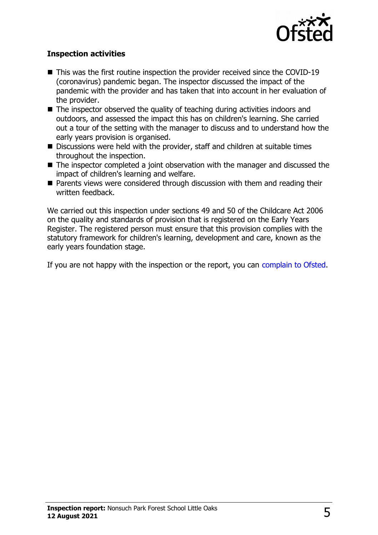

#### **Inspection activities**

- $\blacksquare$  This was the first routine inspection the provider received since the COVID-19 (coronavirus) pandemic began. The inspector discussed the impact of the pandemic with the provider and has taken that into account in her evaluation of the provider.
- $\blacksquare$  The inspector observed the quality of teaching during activities indoors and outdoors, and assessed the impact this has on children's learning. She carried out a tour of the setting with the manager to discuss and to understand how the early years provision is organised.
- $\blacksquare$  Discussions were held with the provider, staff and children at suitable times throughout the inspection.
- $\blacksquare$  The inspector completed a joint observation with the manager and discussed the impact of children's learning and welfare.
- $\blacksquare$  Parents views were considered through discussion with them and reading their written feedback.

We carried out this inspection under sections 49 and 50 of the Childcare Act 2006 on the quality and standards of provision that is registered on the Early Years Register. The registered person must ensure that this provision complies with the statutory framework for children's learning, development and care, known as the early years foundation stage.

If you are not happy with the inspection or the report, you can [complain to Ofsted.](http://www.gov.uk/complain-ofsted-report)